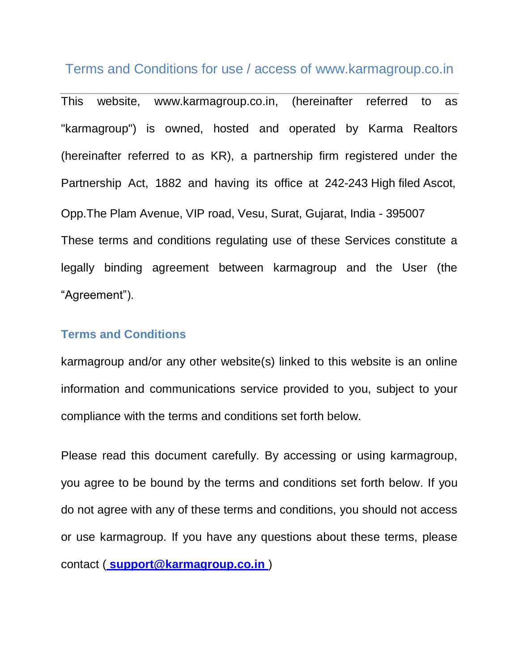# Terms and Conditions for use / access of [www.karmagroup.co.in](http://www.karmagroup.co.in/)

This website, [www.karmagroup.co.in,](http://www.karmagroup.co.in/) (hereinafter referred to as "karmagroup") is owned, hosted and operated by Karma Realtors (hereinafter referred to as KR), a partnership firm registered under the Partnership Act, 1882 and having its office at 242-243 High filed Ascot, Opp.The Plam Avenue, VIP road, Vesu, Surat, Gujarat, India - 395007 These terms and conditions regulating use of these Services constitute a legally binding agreement between karmagroup and the User (the "Agreement").

# **Terms and Conditions**

karmagroup and/or any other website(s) linked to this website is an online information and communications service provided to you, subject to your compliance with the terms and conditions set forth below.

Please read this document carefully. By accessing or using karmagroup, you agree to be bound by the terms and conditions set forth below. If you do not agree with any of these terms and conditions, you should not access or use karmagroup. If you have any questions about these terms, please contact ( **support@karmagroup.co.in** )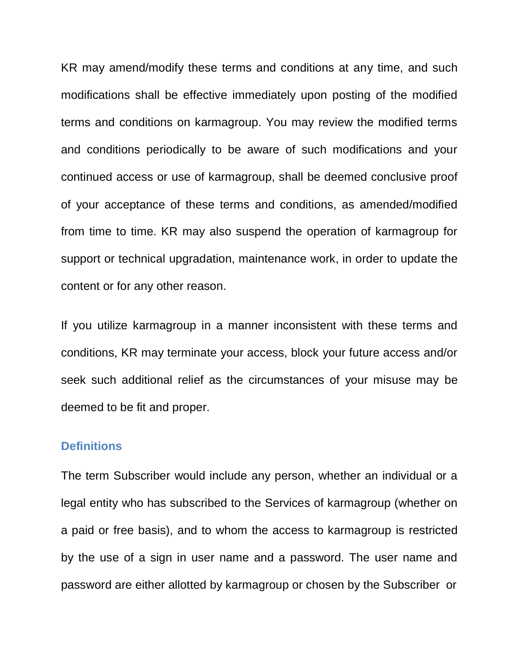KR may amend/modify these terms and conditions at any time, and such modifications shall be effective immediately upon posting of the modified terms and conditions on karmagroup. You may review the modified terms and conditions periodically to be aware of such modifications and your continued access or use of karmagroup, shall be deemed conclusive proof of your acceptance of these terms and conditions, as amended/modified from time to time. KR may also suspend the operation of karmagroup for support or technical upgradation, maintenance work, in order to update the content or for any other reason.

If you utilize karmagroup in a manner inconsistent with these terms and conditions, KR may terminate your access, block your future access and/or seek such additional relief as the circumstances of your misuse may be deemed to be fit and proper.

#### **Definitions**

The term Subscriber would include any person, whether an individual or a legal entity who has subscribed to the Services of karmagroup (whether on a paid or free basis), and to whom the access to karmagroup is restricted by the use of a sign in user name and a password. The user name and password are either allotted by karmagroup or chosen by the Subscriber or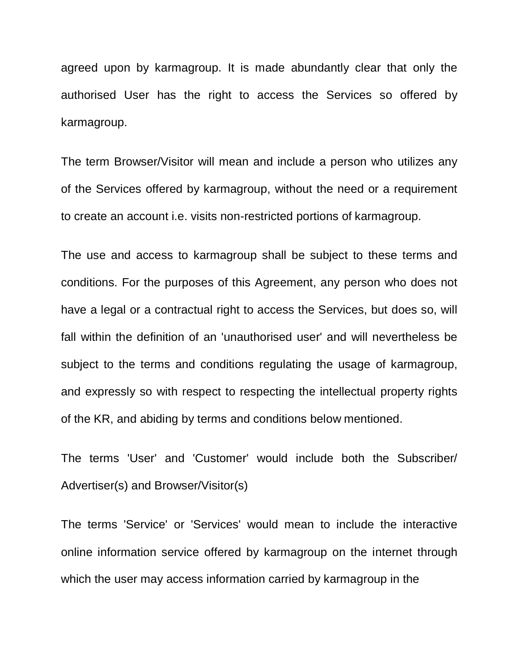agreed upon by karmagroup. It is made abundantly clear that only the authorised User has the right to access the Services so offered by karmagroup.

The term Browser/Visitor will mean and include a person who utilizes any of the Services offered by karmagroup, without the need or a requirement to create an account i.e. visits non-restricted portions of karmagroup.

The use and access to karmagroup shall be subject to these terms and conditions. For the purposes of this Agreement, any person who does not have a legal or a contractual right to access the Services, but does so, will fall within the definition of an 'unauthorised user' and will nevertheless be subject to the terms and conditions regulating the usage of karmagroup, and expressly so with respect to respecting the intellectual property rights of the KR, and abiding by terms and conditions below mentioned.

The terms 'User' and 'Customer' would include both the Subscriber/ Advertiser(s) and Browser/Visitor(s)

The terms 'Service' or 'Services' would mean to include the interactive online information service offered by karmagroup on the internet through which the user may access information carried by karmagroup in the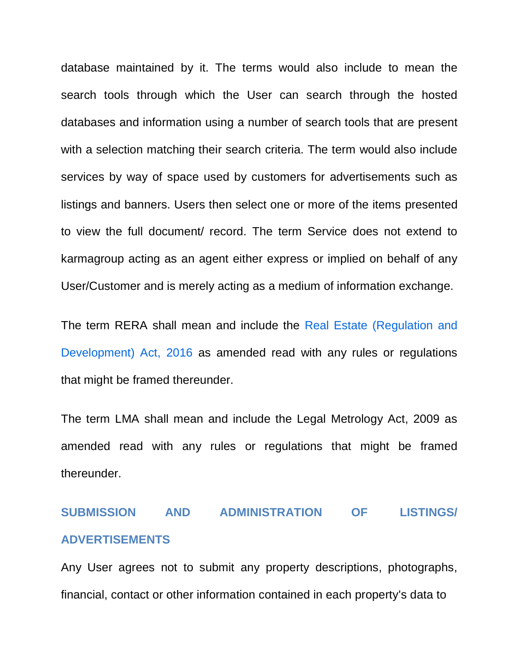database maintained by it. The terms would also include to mean the search tools through which the User can search through the hosted databases and information using a number of search tools that are present with a selection matching their search criteria. The term would also include services by way of space used by customers for advertisements such as listings and banners. Users then select one or more of the items presented to view the full document/ record. The term Service does not extend to karmagroup acting as an agent either express or implied on behalf of any User/Customer and is merely acting as a medium of information exchange.

The term RERA shall mean and include the Real Estate (Regulation and Development) Act, 2016 as amended read with any rules or regulations that might be framed thereunder.

The term LMA shall mean and include the Legal Metrology Act, 2009 as amended read with any rules or regulations that might be framed thereunder.

# **SUBMISSION AND ADMINISTRATION OF LISTINGS/ ADVERTISEMENTS**

Any User agrees not to submit any property descriptions, photographs, financial, contact or other information contained in each property's data to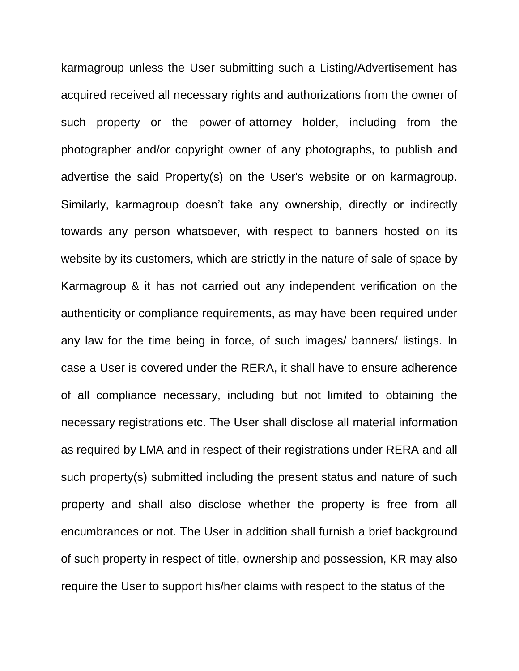karmagroup unless the User submitting such a Listing/Advertisement has acquired received all necessary rights and authorizations from the owner of such property or the power-of-attorney holder, including from the photographer and/or copyright owner of any photographs, to publish and advertise the said Property(s) on the User's website or on karmagroup. Similarly, karmagroup doesn't take any ownership, directly or indirectly towards any person whatsoever, with respect to banners hosted on its website by its customers, which are strictly in the nature of sale of space by Karmagroup & it has not carried out any independent verification on the authenticity or compliance requirements, as may have been required under any law for the time being in force, of such images/ banners/ listings. In case a User is covered under the RERA, it shall have to ensure adherence of all compliance necessary, including but not limited to obtaining the necessary registrations etc. The User shall disclose all material information as required by LMA and in respect of their registrations under RERA and all such property(s) submitted including the present status and nature of such property and shall also disclose whether the property is free from all encumbrances or not. The User in addition shall furnish a brief background of such property in respect of title, ownership and possession, KR may also require the User to support his/her claims with respect to the status of the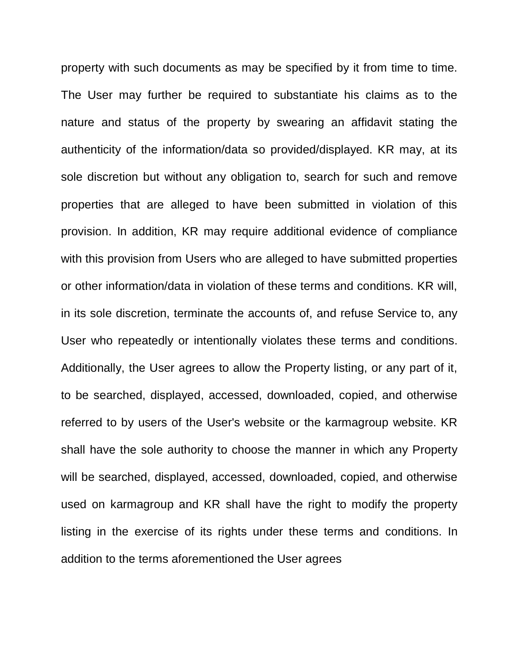property with such documents as may be specified by it from time to time. The User may further be required to substantiate his claims as to the nature and status of the property by swearing an affidavit stating the authenticity of the information/data so provided/displayed. KR may, at its sole discretion but without any obligation to, search for such and remove properties that are alleged to have been submitted in violation of this provision. In addition, KR may require additional evidence of compliance with this provision from Users who are alleged to have submitted properties or other information/data in violation of these terms and conditions. KR will, in its sole discretion, terminate the accounts of, and refuse Service to, any User who repeatedly or intentionally violates these terms and conditions. Additionally, the User agrees to allow the Property listing, or any part of it, to be searched, displayed, accessed, downloaded, copied, and otherwise referred to by users of the User's website or the karmagroup website. KR shall have the sole authority to choose the manner in which any Property will be searched, displayed, accessed, downloaded, copied, and otherwise used on karmagroup and KR shall have the right to modify the property listing in the exercise of its rights under these terms and conditions. In addition to the terms aforementioned the User agrees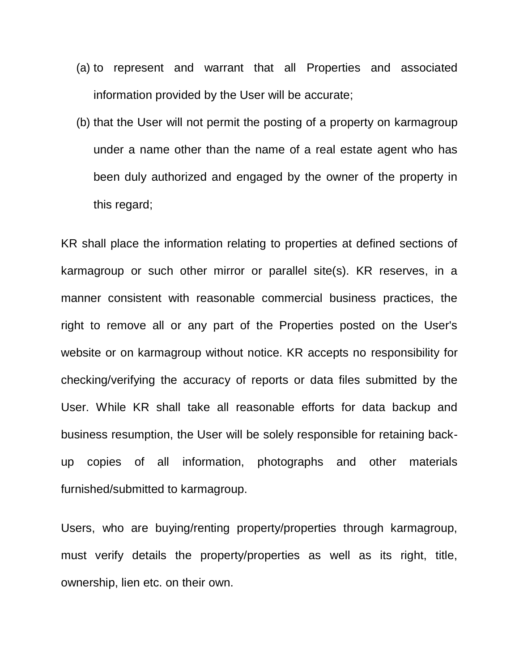- (a) to represent and warrant that all Properties and associated information provided by the User will be accurate;
- (b) that the User will not permit the posting of a property on karmagroup under a name other than the name of a real estate agent who has been duly authorized and engaged by the owner of the property in this regard;

KR shall place the information relating to properties at defined sections of karmagroup or such other mirror or parallel site(s). KR reserves, in a manner consistent with reasonable commercial business practices, the right to remove all or any part of the Properties posted on the User's website or on karmagroup without notice. KR accepts no responsibility for checking/verifying the accuracy of reports or data files submitted by the User. While KR shall take all reasonable efforts for data backup and business resumption, the User will be solely responsible for retaining backup copies of all information, photographs and other materials furnished/submitted to karmagroup.

Users, who are buying/renting property/properties through karmagroup, must verify details the property/properties as well as its right, title, ownership, lien etc. on their own.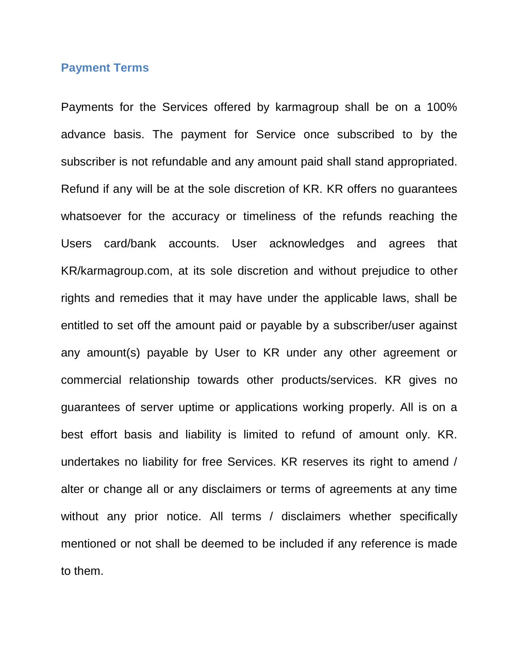# **Payment Terms**

Payments for the Services offered by karmagroup shall be on a 100% advance basis. The payment for Service once subscribed to by the subscriber is not refundable and any amount paid shall stand appropriated. Refund if any will be at the sole discretion of KR. KR offers no guarantees whatsoever for the accuracy or timeliness of the refunds reaching the Users card/bank accounts. User acknowledges and agrees that KR/karmagroup.com, at its sole discretion and without prejudice to other rights and remedies that it may have under the applicable laws, shall be entitled to set off the amount paid or payable by a subscriber/user against any amount(s) payable by User to KR under any other agreement or commercial relationship towards other products/services. KR gives no guarantees of server uptime or applications working properly. All is on a best effort basis and liability is limited to refund of amount only. KR. undertakes no liability for free Services. KR reserves its right to amend / alter or change all or any disclaimers or terms of agreements at any time without any prior notice. All terms / disclaimers whether specifically mentioned or not shall be deemed to be included if any reference is made to them.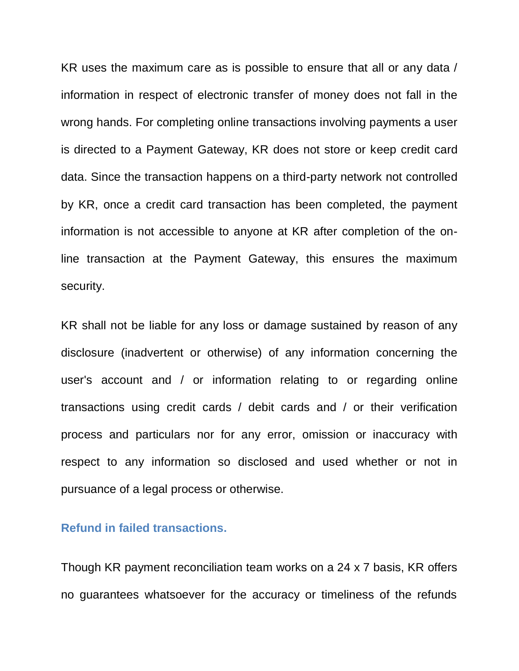KR uses the maximum care as is possible to ensure that all or any data / information in respect of electronic transfer of money does not fall in the wrong hands. For completing online transactions involving payments a user is directed to a Payment Gateway, KR does not store or keep credit card data. Since the transaction happens on a third-party network not controlled by KR, once a credit card transaction has been completed, the payment information is not accessible to anyone at KR after completion of the online transaction at the Payment Gateway, this ensures the maximum security.

KR shall not be liable for any loss or damage sustained by reason of any disclosure (inadvertent or otherwise) of any information concerning the user's account and / or information relating to or regarding online transactions using credit cards / debit cards and / or their verification process and particulars nor for any error, omission or inaccuracy with respect to any information so disclosed and used whether or not in pursuance of a legal process or otherwise.

# **Refund in failed transactions.**

Though KR payment reconciliation team works on a 24 x 7 basis, KR offers no guarantees whatsoever for the accuracy or timeliness of the refunds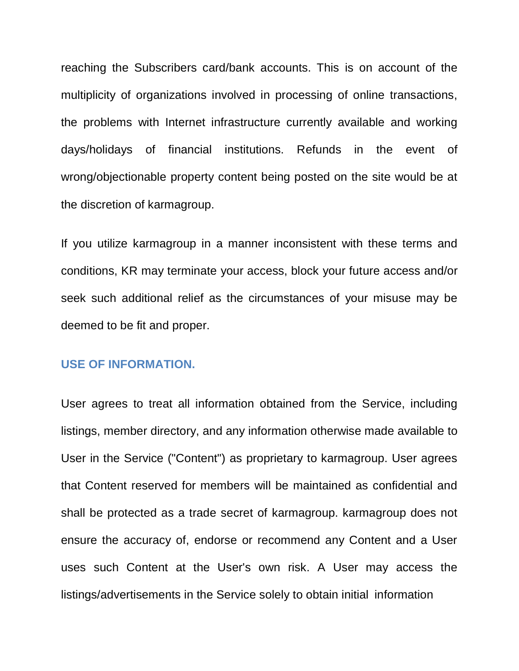reaching the Subscribers card/bank accounts. This is on account of the multiplicity of organizations involved in processing of online transactions, the problems with Internet infrastructure currently available and working days/holidays of financial institutions. Refunds in the event of wrong/objectionable property content being posted on the site would be at the discretion of karmagroup.

If you utilize karmagroup in a manner inconsistent with these terms and conditions, KR may terminate your access, block your future access and/or seek such additional relief as the circumstances of your misuse may be deemed to be fit and proper.

#### **USE OF INFORMATION.**

User agrees to treat all information obtained from the Service, including listings, member directory, and any information otherwise made available to User in the Service ("Content") as proprietary to karmagroup. User agrees that Content reserved for members will be maintained as confidential and shall be protected as a trade secret of karmagroup. karmagroup does not ensure the accuracy of, endorse or recommend any Content and a User uses such Content at the User's own risk. A User may access the listings/advertisements in the Service solely to obtain initial information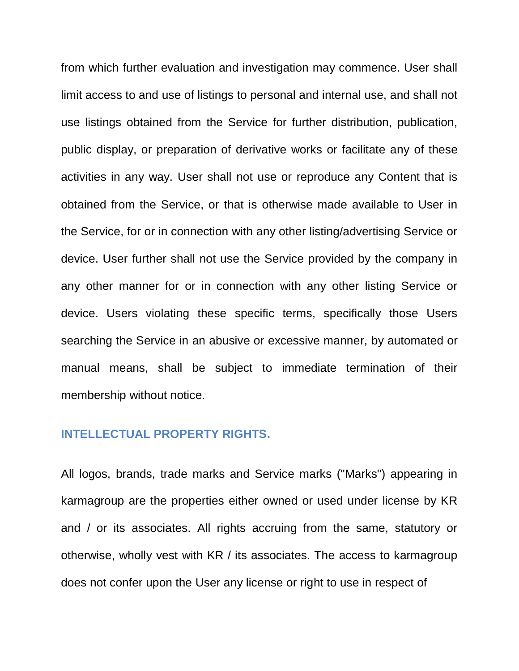from which further evaluation and investigation may commence. User shall limit access to and use of listings to personal and internal use, and shall not use listings obtained from the Service for further distribution, publication, public display, or preparation of derivative works or facilitate any of these activities in any way. User shall not use or reproduce any Content that is obtained from the Service, or that is otherwise made available to User in the Service, for or in connection with any other listing/advertising Service or device. User further shall not use the Service provided by the company in any other manner for or in connection with any other listing Service or device. Users violating these specific terms, specifically those Users searching the Service in an abusive or excessive manner, by automated or manual means, shall be subject to immediate termination of their membership without notice.

### **INTELLECTUAL PROPERTY RIGHTS.**

All logos, brands, trade marks and Service marks ("Marks") appearing in karmagroup are the properties either owned or used under license by KR and / or its associates. All rights accruing from the same, statutory or otherwise, wholly vest with KR / its associates. The access to karmagroup does not confer upon the User any license or right to use in respect of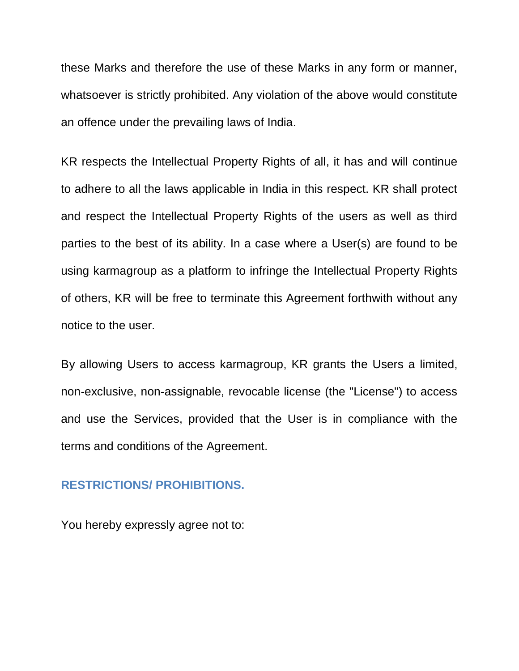these Marks and therefore the use of these Marks in any form or manner, whatsoever is strictly prohibited. Any violation of the above would constitute an offence under the prevailing laws of India.

KR respects the Intellectual Property Rights of all, it has and will continue to adhere to all the laws applicable in India in this respect. KR shall protect and respect the Intellectual Property Rights of the users as well as third parties to the best of its ability. In a case where a User(s) are found to be using karmagroup as a platform to infringe the Intellectual Property Rights of others, KR will be free to terminate this Agreement forthwith without any notice to the user.

By allowing Users to access karmagroup, KR grants the Users a limited, non-exclusive, non-assignable, revocable license (the "License") to access and use the Services, provided that the User is in compliance with the terms and conditions of the Agreement.

#### **RESTRICTIONS/ PROHIBITIONS.**

You hereby expressly agree not to: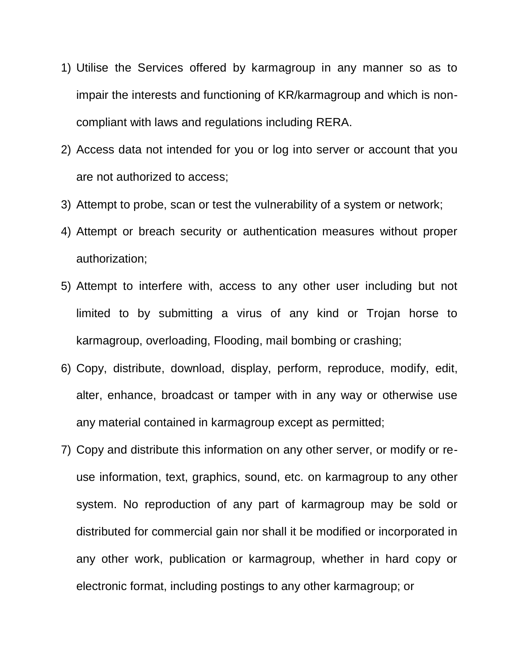- 1) Utilise the Services offered by karmagroup in any manner so as to impair the interests and functioning of KR/karmagroup and which is noncompliant with laws and regulations including RERA.
- 2) Access data not intended for you or log into server or account that you are not authorized to access;
- 3) Attempt to probe, scan or test the vulnerability of a system or network;
- 4) Attempt or breach security or authentication measures without proper authorization;
- 5) Attempt to interfere with, access to any other user including but not limited to by submitting a virus of any kind or Trojan horse to karmagroup, overloading, Flooding, mail bombing or crashing;
- 6) Copy, distribute, download, display, perform, reproduce, modify, edit, alter, enhance, broadcast or tamper with in any way or otherwise use any material contained in karmagroup except as permitted;
- 7) Copy and distribute this information on any other server, or modify or reuse information, text, graphics, sound, etc. on karmagroup to any other system. No reproduction of any part of karmagroup may be sold or distributed for commercial gain nor shall it be modified or incorporated in any other work, publication or karmagroup, whether in hard copy or electronic format, including postings to any other karmagroup; or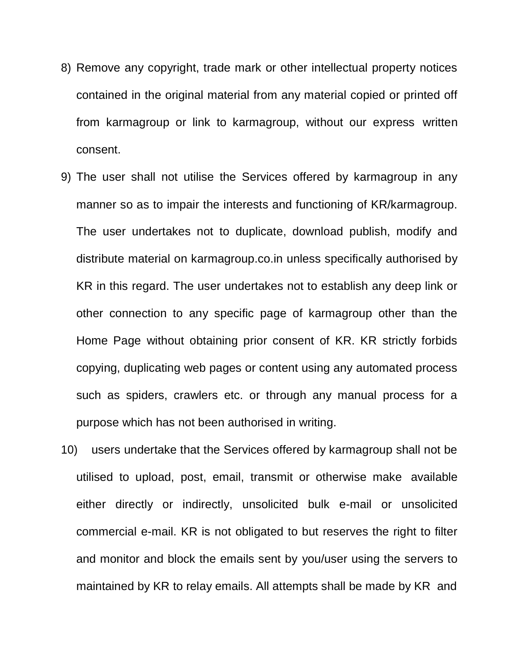- 8) Remove any copyright, trade mark or other intellectual property notices contained in the original material from any material copied or printed off from karmagroup or link to karmagroup, without our express written consent.
- 9) The user shall not utilise the Services offered by karmagroup in any manner so as to impair the interests and functioning of KR/karmagroup. The user undertakes not to duplicate, download publish, modify and distribute material on karmagroup.co.in unless specifically authorised by KR in this regard. The user undertakes not to establish any deep link or other connection to any specific page of karmagroup other than the Home Page without obtaining prior consent of KR. KR strictly forbids copying, duplicating web pages or content using any automated process such as spiders, crawlers etc. or through any manual process for a purpose which has not been authorised in writing.
- 10) users undertake that the Services offered by karmagroup shall not be utilised to upload, post, email, transmit or otherwise make available either directly or indirectly, unsolicited bulk e-mail or unsolicited commercial e-mail. KR is not obligated to but reserves the right to filter and monitor and block the emails sent by you/user using the servers to maintained by KR to relay emails. All attempts shall be made by KR and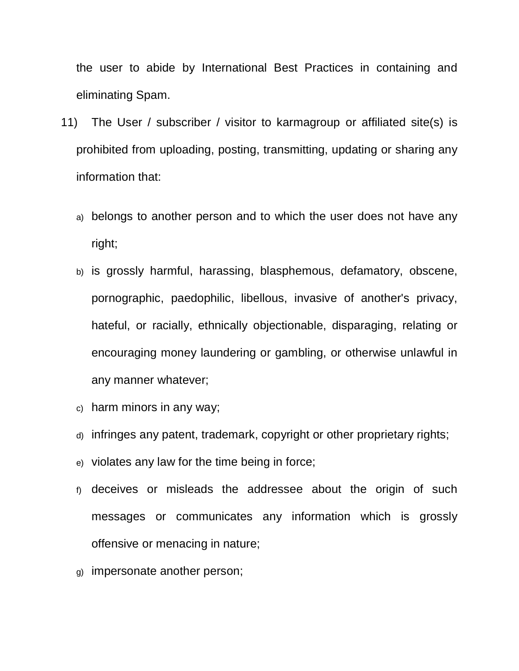the user to abide by International Best Practices in containing and eliminating Spam.

- 11) The User / subscriber / visitor to karmagroup or affiliated site(s) is prohibited from uploading, posting, transmitting, updating or sharing any information that:
	- a) belongs to another person and to which the user does not have any right;
	- b) is grossly harmful, harassing, blasphemous, defamatory, obscene, pornographic, paedophilic, libellous, invasive of another's privacy, hateful, or racially, ethnically objectionable, disparaging, relating or encouraging money laundering or gambling, or otherwise unlawful in any manner whatever;
	- c) harm minors in any way;
	- d) infringes any patent, trademark, copyright or other proprietary rights;
	- e) violates any law for the time being in force;
	- f) deceives or misleads the addressee about the origin of such messages or communicates any information which is grossly offensive or menacing in nature;
	- g) impersonate another person;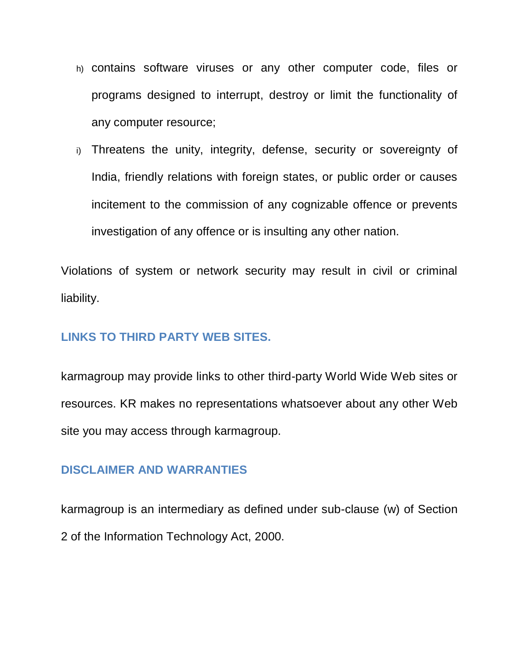- h) contains software viruses or any other computer code, files or programs designed to interrupt, destroy or limit the functionality of any computer resource;
- i) Threatens the unity, integrity, defense, security or sovereignty of India, friendly relations with foreign states, or public order or causes incitement to the commission of any cognizable offence or prevents investigation of any offence or is insulting any other nation.

Violations of system or network security may result in civil or criminal liability.

# **LINKS TO THIRD PARTY WEB SITES.**

karmagroup may provide links to other third-party World Wide Web sites or resources. KR makes no representations whatsoever about any other Web site you may access through karmagroup.

# **DISCLAIMER AND WARRANTIES**

karmagroup is an intermediary as defined under sub-clause (w) of Section 2 of the Information Technology Act, 2000.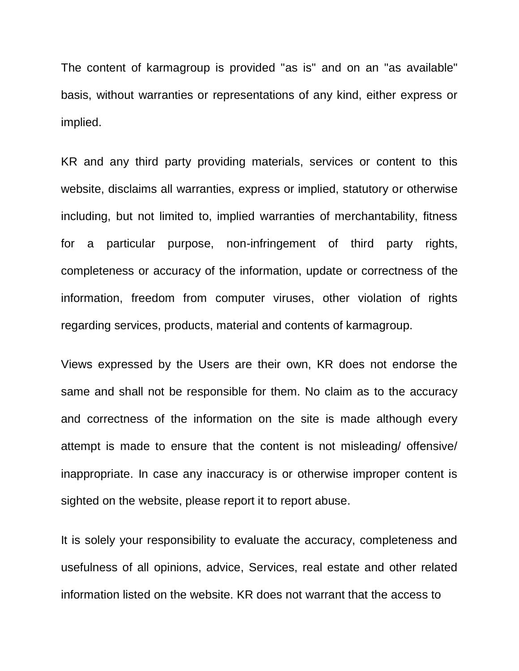The content of karmagroup is provided "as is" and on an "as available" basis, without warranties or representations of any kind, either express or implied.

KR and any third party providing materials, services or content to this website, disclaims all warranties, express or implied, statutory or otherwise including, but not limited to, implied warranties of merchantability, fitness for a particular purpose, non-infringement of third party rights, completeness or accuracy of the information, update or correctness of the information, freedom from computer viruses, other violation of rights regarding services, products, material and contents of karmagroup.

Views expressed by the Users are their own, KR does not endorse the same and shall not be responsible for them. No claim as to the accuracy and correctness of the information on the site is made although every attempt is made to ensure that the content is not misleading/ offensive/ inappropriate. In case any inaccuracy is or otherwise improper content is sighted on the website, please report it to report abuse.

It is solely your responsibility to evaluate the accuracy, completeness and usefulness of all opinions, advice, Services, real estate and other related information listed on the website. KR does not warrant that the access to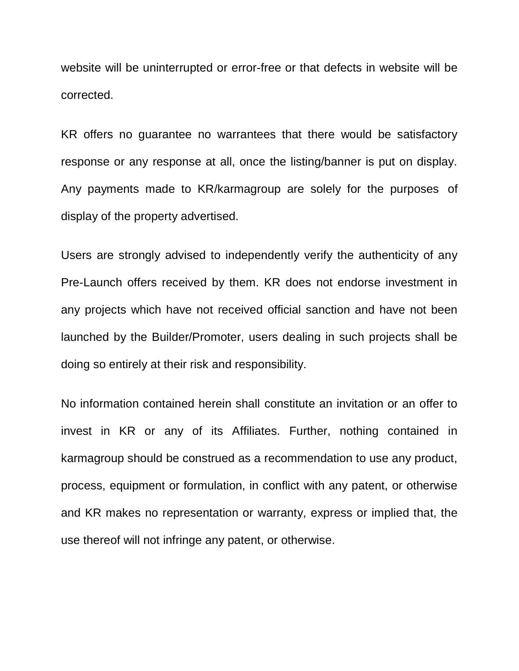website will be uninterrupted or error-free or that defects in website will be corrected.

KR offers no guarantee no warrantees that there would be satisfactory response or any response at all, once the listing/banner is put on display. Any payments made to KR/karmagroup are solely for the purposes of display of the property advertised.

Users are strongly advised to independently verify the authenticity of any Pre-Launch offers received by them. KR does not endorse investment in any projects which have not received official sanction and have not been launched by the Builder/Promoter, users dealing in such projects shall be doing so entirely at their risk and responsibility.

No information contained herein shall constitute an invitation or an offer to invest in KR or any of its Affiliates. Further, nothing contained in karmagroup should be construed as a recommendation to use any product, process, equipment or formulation, in conflict with any patent, or otherwise and KR makes no representation or warranty, express or implied that, the use thereof will not infringe any patent, or otherwise.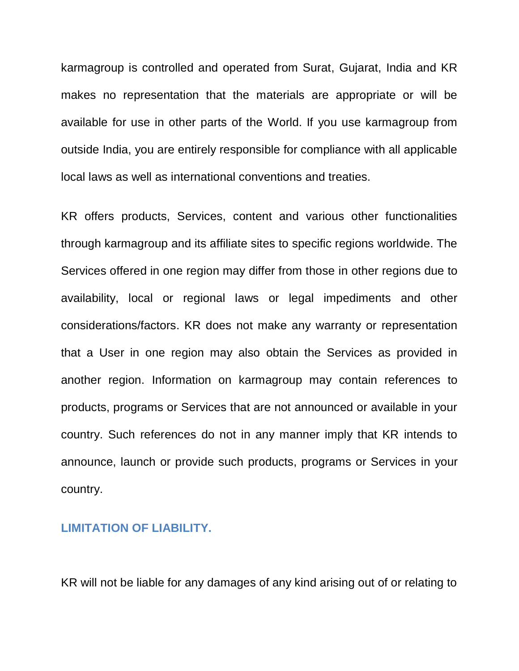karmagroup is controlled and operated from Surat, Gujarat, India and KR makes no representation that the materials are appropriate or will be available for use in other parts of the World. If you use karmagroup from outside India, you are entirely responsible for compliance with all applicable local laws as well as international conventions and treaties.

KR offers products, Services, content and various other functionalities through karmagroup and its affiliate sites to specific regions worldwide. The Services offered in one region may differ from those in other regions due to availability, local or regional laws or legal impediments and other considerations/factors. KR does not make any warranty or representation that a User in one region may also obtain the Services as provided in another region. Information on karmagroup may contain references to products, programs or Services that are not announced or available in your country. Such references do not in any manner imply that KR intends to announce, launch or provide such products, programs or Services in your country.

### **LIMITATION OF LIABILITY.**

KR will not be liable for any damages of any kind arising out of or relating to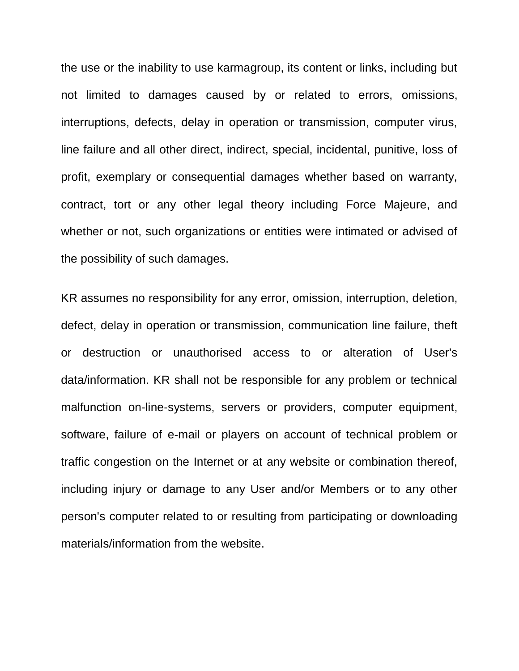the use or the inability to use karmagroup, its content or links, including but not limited to damages caused by or related to errors, omissions, interruptions, defects, delay in operation or transmission, computer virus, line failure and all other direct, indirect, special, incidental, punitive, loss of profit, exemplary or consequential damages whether based on warranty, contract, tort or any other legal theory including Force Majeure, and whether or not, such organizations or entities were intimated or advised of the possibility of such damages.

KR assumes no responsibility for any error, omission, interruption, deletion, defect, delay in operation or transmission, communication line failure, theft or destruction or unauthorised access to or alteration of User's data/information. KR shall not be responsible for any problem or technical malfunction on-line-systems, servers or providers, computer equipment, software, failure of e-mail or players on account of technical problem or traffic congestion on the Internet or at any website or combination thereof, including injury or damage to any User and/or Members or to any other person's computer related to or resulting from participating or downloading materials/information from the website.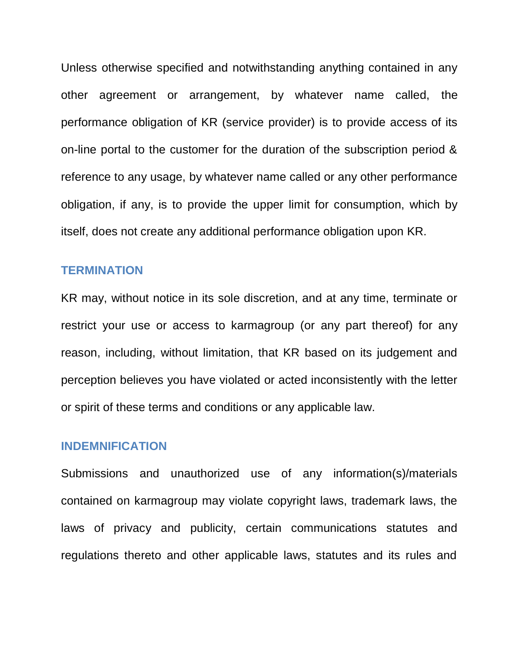Unless otherwise specified and notwithstanding anything contained in any other agreement or arrangement, by whatever name called, the performance obligation of KR (service provider) is to provide access of its on-line portal to the customer for the duration of the subscription period & reference to any usage, by whatever name called or any other performance obligation, if any, is to provide the upper limit for consumption, which by itself, does not create any additional performance obligation upon KR.

#### **TERMINATION**

KR may, without notice in its sole discretion, and at any time, terminate or restrict your use or access to karmagroup (or any part thereof) for any reason, including, without limitation, that KR based on its judgement and perception believes you have violated or acted inconsistently with the letter or spirit of these terms and conditions or any applicable law.

#### **INDEMNIFICATION**

Submissions and unauthorized use of any information(s)/materials contained on karmagroup may violate copyright laws, trademark laws, the laws of privacy and publicity, certain communications statutes and regulations thereto and other applicable laws, statutes and its rules and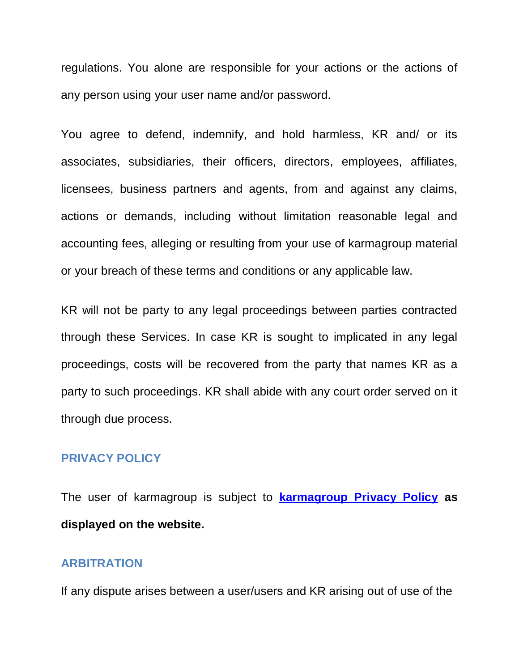regulations. You alone are responsible for your actions or the actions of any person using your user name and/or password.

You agree to defend, indemnify, and hold harmless, KR and/ or its associates, subsidiaries, their officers, directors, employees, affiliates, licensees, business partners and agents, from and against any claims, actions or demands, including without limitation reasonable legal and accounting fees, alleging or resulting from your use of karmagroup material or your breach of these terms and conditions or any applicable law.

KR will not be party to any legal proceedings between parties contracted through these Services. In case KR is sought to implicated in any legal proceedings, costs will be recovered from the party that names KR as a party to such proceedings. KR shall abide with any court order served on it through due process.

### **PRIVACY POLICY**

The user of karmagroup is subject to **karmagroup Privacy Policy as displayed on the website.**

#### **ARBITRATION**

If any dispute arises between a user/users and KR arising out of use of the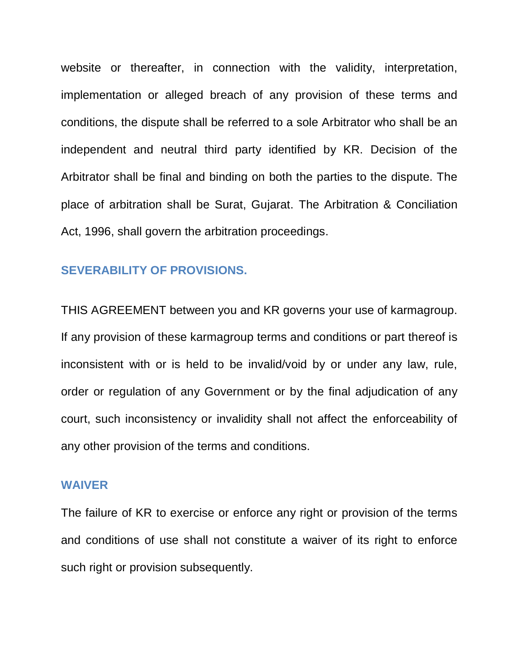website or thereafter, in connection with the validity, interpretation, implementation or alleged breach of any provision of these terms and conditions, the dispute shall be referred to a sole Arbitrator who shall be an independent and neutral third party identified by KR. Decision of the Arbitrator shall be final and binding on both the parties to the dispute. The place of arbitration shall be Surat, Gujarat. The Arbitration & Conciliation Act, 1996, shall govern the arbitration proceedings.

#### **SEVERABILITY OF PROVISIONS.**

THIS AGREEMENT between you and KR governs your use of karmagroup. If any provision of these karmagroup terms and conditions or part thereof is inconsistent with or is held to be invalid/void by or under any law, rule, order or regulation of any Government or by the final adjudication of any court, such inconsistency or invalidity shall not affect the enforceability of any other provision of the terms and conditions.

#### **WAIVER**

The failure of KR to exercise or enforce any right or provision of the terms and conditions of use shall not constitute a waiver of its right to enforce such right or provision subsequently.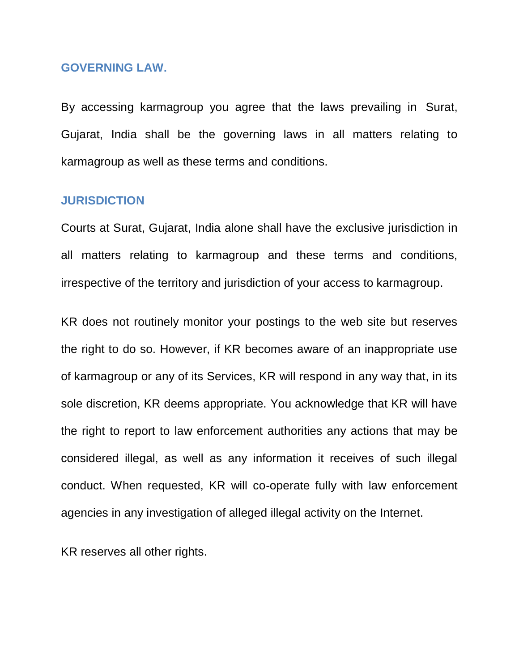#### **GOVERNING LAW.**

By accessing karmagroup you agree that the laws prevailing in Surat, Gujarat, India shall be the governing laws in all matters relating to karmagroup as well as these terms and conditions.

#### **JURISDICTION**

Courts at Surat, Gujarat, India alone shall have the exclusive jurisdiction in all matters relating to karmagroup and these terms and conditions, irrespective of the territory and jurisdiction of your access to karmagroup.

KR does not routinely monitor your postings to the web site but reserves the right to do so. However, if KR becomes aware of an inappropriate use of karmagroup or any of its Services, KR will respond in any way that, in its sole discretion, KR deems appropriate. You acknowledge that KR will have the right to report to law enforcement authorities any actions that may be considered illegal, as well as any information it receives of such illegal conduct. When requested, KR will co-operate fully with law enforcement agencies in any investigation of alleged illegal activity on the Internet.

KR reserves all other rights.